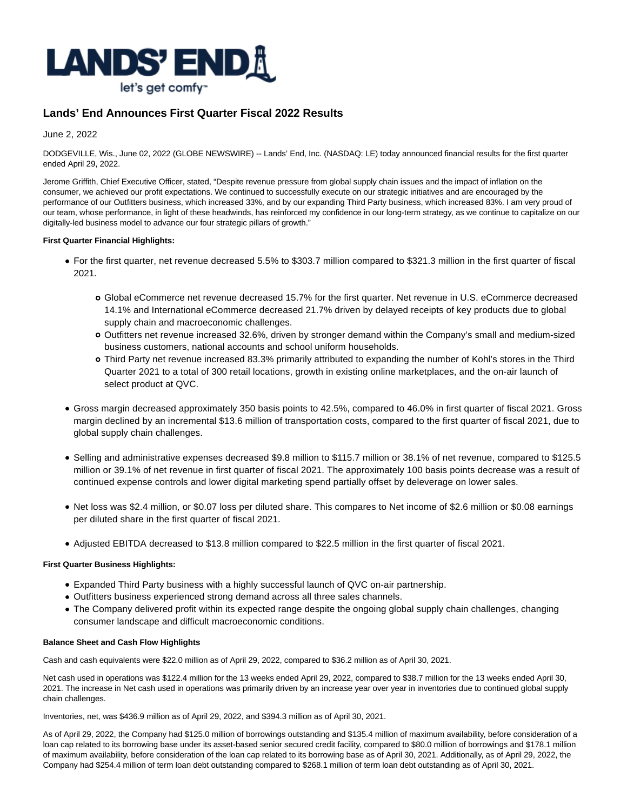

# **Lands' End Announces First Quarter Fiscal 2022 Results**

June 2, 2022

DODGEVILLE, Wis., June 02, 2022 (GLOBE NEWSWIRE) -- Lands' End, Inc. (NASDAQ: LE) today announced financial results for the first quarter ended April 29, 2022.

Jerome Griffith, Chief Executive Officer, stated, "Despite revenue pressure from global supply chain issues and the impact of inflation on the consumer, we achieved our profit expectations. We continued to successfully execute on our strategic initiatives and are encouraged by the performance of our Outfitters business, which increased 33%, and by our expanding Third Party business, which increased 83%. I am very proud of our team, whose performance, in light of these headwinds, has reinforced my confidence in our long-term strategy, as we continue to capitalize on our digitally-led business model to advance our four strategic pillars of growth."

### **First Quarter Financial Highlights:**

- For the first quarter, net revenue decreased 5.5% to \$303.7 million compared to \$321.3 million in the first quarter of fiscal 2021.
	- Global eCommerce net revenue decreased 15.7% for the first quarter. Net revenue in U.S. eCommerce decreased 14.1% and International eCommerce decreased 21.7% driven by delayed receipts of key products due to global supply chain and macroeconomic challenges.
	- Outfitters net revenue increased 32.6%, driven by stronger demand within the Company's small and medium-sized business customers, national accounts and school uniform households.
	- Third Party net revenue increased 83.3% primarily attributed to expanding the number of Kohl's stores in the Third Quarter 2021 to a total of 300 retail locations, growth in existing online marketplaces, and the on-air launch of select product at QVC.
- Gross margin decreased approximately 350 basis points to 42.5%, compared to 46.0% in first quarter of fiscal 2021. Gross margin declined by an incremental \$13.6 million of transportation costs, compared to the first quarter of fiscal 2021, due to global supply chain challenges.
- Selling and administrative expenses decreased \$9.8 million to \$115.7 million or 38.1% of net revenue, compared to \$125.5 million or 39.1% of net revenue in first quarter of fiscal 2021. The approximately 100 basis points decrease was a result of continued expense controls and lower digital marketing spend partially offset by deleverage on lower sales.
- Net loss was \$2.4 million, or \$0.07 loss per diluted share. This compares to Net income of \$2.6 million or \$0.08 earnings per diluted share in the first quarter of fiscal 2021.
- Adjusted EBITDA decreased to \$13.8 million compared to \$22.5 million in the first quarter of fiscal 2021.

### **First Quarter Business Highlights:**

- Expanded Third Party business with a highly successful launch of QVC on-air partnership.
- Outfitters business experienced strong demand across all three sales channels.
- The Company delivered profit within its expected range despite the ongoing global supply chain challenges, changing consumer landscape and difficult macroeconomic conditions.

### **Balance Sheet and Cash Flow Highlights**

Cash and cash equivalents were \$22.0 million as of April 29, 2022, compared to \$36.2 million as of April 30, 2021.

Net cash used in operations was \$122.4 million for the 13 weeks ended April 29, 2022, compared to \$38.7 million for the 13 weeks ended April 30, 2021. The increase in Net cash used in operations was primarily driven by an increase year over year in inventories due to continued global supply chain challenges.

Inventories, net, was \$436.9 million as of April 29, 2022, and \$394.3 million as of April 30, 2021.

As of April 29, 2022, the Company had \$125.0 million of borrowings outstanding and \$135.4 million of maximum availability, before consideration of a loan cap related to its borrowing base under its asset-based senior secured credit facility, compared to \$80.0 million of borrowings and \$178.1 million of maximum availability, before consideration of the loan cap related to its borrowing base as of April 30, 2021. Additionally, as of April 29, 2022, the Company had \$254.4 million of term loan debt outstanding compared to \$268.1 million of term loan debt outstanding as of April 30, 2021.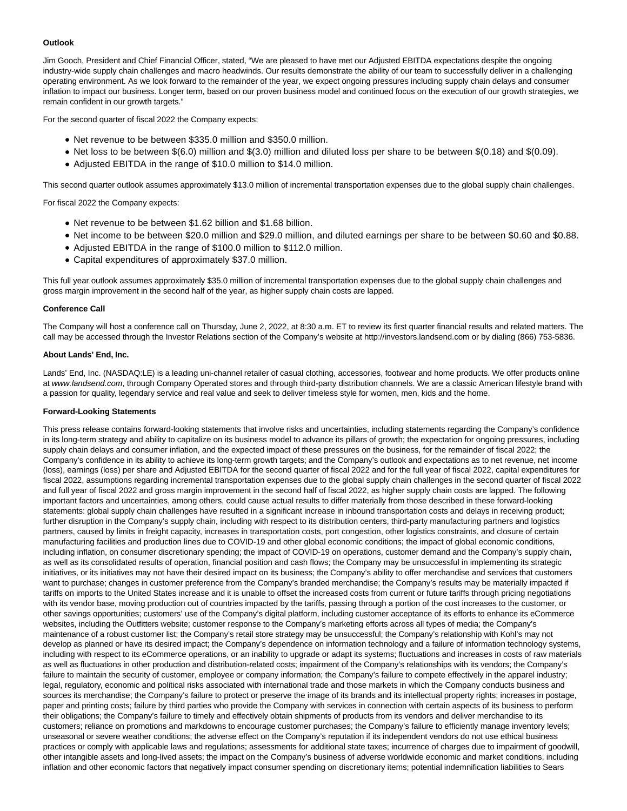### **Outlook**

Jim Gooch, President and Chief Financial Officer, stated, "We are pleased to have met our Adjusted EBITDA expectations despite the ongoing industry-wide supply chain challenges and macro headwinds. Our results demonstrate the ability of our team to successfully deliver in a challenging operating environment. As we look forward to the remainder of the year, we expect ongoing pressures including supply chain delays and consumer inflation to impact our business. Longer term, based on our proven business model and continued focus on the execution of our growth strategies, we remain confident in our growth targets."

For the second quarter of fiscal 2022 the Company expects:

- Net revenue to be between \$335.0 million and \$350.0 million.
- Net loss to be between \$(6.0) million and \$(3.0) million and diluted loss per share to be between \$(0.18) and \$(0.09).
- Adjusted EBITDA in the range of \$10.0 million to \$14.0 million.

This second quarter outlook assumes approximately \$13.0 million of incremental transportation expenses due to the global supply chain challenges.

For fiscal 2022 the Company expects:

- Net revenue to be between \$1.62 billion and \$1.68 billion.
- Net income to be between \$20.0 million and \$29.0 million, and diluted earnings per share to be between \$0.60 and \$0.88.
- Adjusted EBITDA in the range of \$100.0 million to \$112.0 million.
- Capital expenditures of approximately \$37.0 million.

This full year outlook assumes approximately \$35.0 million of incremental transportation expenses due to the global supply chain challenges and gross margin improvement in the second half of the year, as higher supply chain costs are lapped.

#### **Conference Call**

The Company will host a conference call on Thursday, June 2, 2022, at 8:30 a.m. ET to review its first quarter financial results and related matters. The call may be accessed through the Investor Relations section of the Company's website at http://investors.landsend.com or by dialing (866) 753-5836.

### **About Lands' End, Inc.**

Lands' End, Inc. (NASDAQ:LE) is a leading uni-channel retailer of casual clothing, accessories, footwear and home products. We offer products online at www.landsend.com, through Company Operated stores and through third-party distribution channels. We are a classic American lifestyle brand with a passion for quality, legendary service and real value and seek to deliver timeless style for women, men, kids and the home.

#### **Forward-Looking Statements**

This press release contains forward-looking statements that involve risks and uncertainties, including statements regarding the Company's confidence in its long-term strategy and ability to capitalize on its business model to advance its pillars of growth; the expectation for ongoing pressures, including supply chain delays and consumer inflation, and the expected impact of these pressures on the business, for the remainder of fiscal 2022; the Company's confidence in its ability to achieve its long-term growth targets; and the Company's outlook and expectations as to net revenue, net income (loss), earnings (loss) per share and Adjusted EBITDA for the second quarter of fiscal 2022 and for the full year of fiscal 2022, capital expenditures for fiscal 2022, assumptions regarding incremental transportation expenses due to the global supply chain challenges in the second quarter of fiscal 2022 and full year of fiscal 2022 and gross margin improvement in the second half of fiscal 2022, as higher supply chain costs are lapped. The following important factors and uncertainties, among others, could cause actual results to differ materially from those described in these forward-looking statements: global supply chain challenges have resulted in a significant increase in inbound transportation costs and delays in receiving product; further disruption in the Company's supply chain, including with respect to its distribution centers, third-party manufacturing partners and logistics partners, caused by limits in freight capacity, increases in transportation costs, port congestion, other logistics constraints, and closure of certain manufacturing facilities and production lines due to COVID-19 and other global economic conditions; the impact of global economic conditions, including inflation, on consumer discretionary spending; the impact of COVID-19 on operations, customer demand and the Company's supply chain, as well as its consolidated results of operation, financial position and cash flows; the Company may be unsuccessful in implementing its strategic initiatives, or its initiatives may not have their desired impact on its business; the Company's ability to offer merchandise and services that customers want to purchase; changes in customer preference from the Company's branded merchandise; the Company's results may be materially impacted if tariffs on imports to the United States increase and it is unable to offset the increased costs from current or future tariffs through pricing negotiations with its vendor base, moving production out of countries impacted by the tariffs, passing through a portion of the cost increases to the customer, or other savings opportunities; customers' use of the Company's digital platform, including customer acceptance of its efforts to enhance its eCommerce websites, including the Outfitters website; customer response to the Company's marketing efforts across all types of media; the Company's maintenance of a robust customer list; the Company's retail store strategy may be unsuccessful; the Company's relationship with Kohl's may not develop as planned or have its desired impact; the Company's dependence on information technology and a failure of information technology systems, including with respect to its eCommerce operations, or an inability to upgrade or adapt its systems; fluctuations and increases in costs of raw materials as well as fluctuations in other production and distribution-related costs; impairment of the Company's relationships with its vendors; the Company's failure to maintain the security of customer, employee or company information; the Company's failure to compete effectively in the apparel industry; legal, regulatory, economic and political risks associated with international trade and those markets in which the Company conducts business and sources its merchandise; the Company's failure to protect or preserve the image of its brands and its intellectual property rights; increases in postage, paper and printing costs; failure by third parties who provide the Company with services in connection with certain aspects of its business to perform their obligations; the Company's failure to timely and effectively obtain shipments of products from its vendors and deliver merchandise to its customers; reliance on promotions and markdowns to encourage customer purchases; the Company's failure to efficiently manage inventory levels; unseasonal or severe weather conditions; the adverse effect on the Company's reputation if its independent vendors do not use ethical business practices or comply with applicable laws and regulations; assessments for additional state taxes; incurrence of charges due to impairment of goodwill, other intangible assets and long-lived assets; the impact on the Company's business of adverse worldwide economic and market conditions, including inflation and other economic factors that negatively impact consumer spending on discretionary items; potential indemnification liabilities to Sears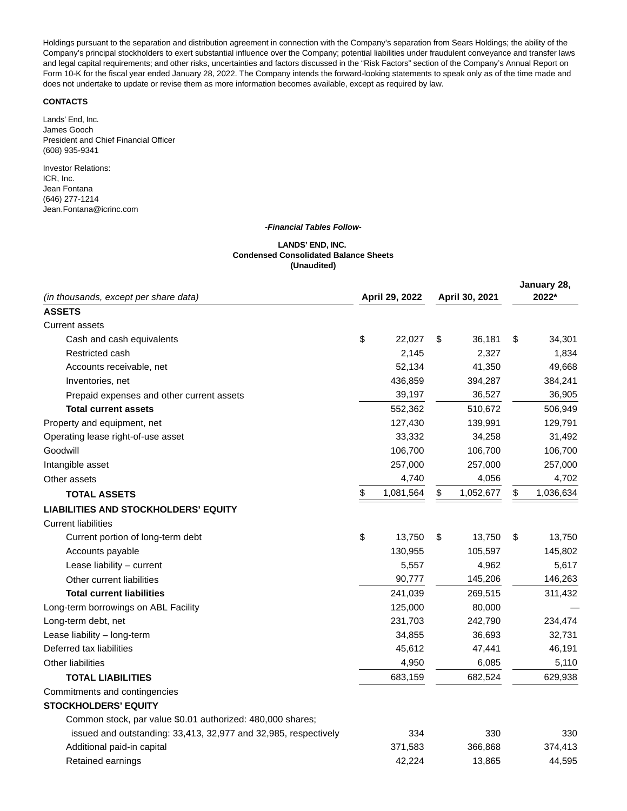Holdings pursuant to the separation and distribution agreement in connection with the Company's separation from Sears Holdings; the ability of the Company's principal stockholders to exert substantial influence over the Company; potential liabilities under fraudulent conveyance and transfer laws and legal capital requirements; and other risks, uncertainties and factors discussed in the "Risk Factors" section of the Company's Annual Report on Form 10-K for the fiscal year ended January 28, 2022. The Company intends the forward-looking statements to speak only as of the time made and does not undertake to update or revise them as more information becomes available, except as required by law.

## **CONTACTS**

Lands' End, Inc. James Gooch President and Chief Financial Officer (608) 935-9341

Investor Relations: ICR, Inc. Jean Fontana (646) 277-1214 Jean.Fontana@icrinc.com

#### **-Financial Tables Follow-**

#### **LANDS' END, INC. Condensed Consolidated Balance Sheets (Unaudited)**

| (in thousands, except per share data)                           | April 29, 2022  | April 30, 2021 |           | January 28,<br>2022* |  |
|-----------------------------------------------------------------|-----------------|----------------|-----------|----------------------|--|
| <b>ASSETS</b>                                                   |                 |                |           |                      |  |
| <b>Current assets</b>                                           |                 |                |           |                      |  |
| Cash and cash equivalents                                       | \$<br>22,027    | \$             | 36,181    | \$<br>34,301         |  |
| Restricted cash                                                 | 2,145           |                | 2,327     | 1,834                |  |
| Accounts receivable, net                                        | 52,134          |                | 41,350    | 49,668               |  |
| Inventories, net                                                | 436,859         |                | 394,287   | 384,241              |  |
| Prepaid expenses and other current assets                       | 39,197          |                | 36,527    | 36,905               |  |
| <b>Total current assets</b>                                     | 552,362         |                | 510,672   | 506,949              |  |
| Property and equipment, net                                     | 127,430         |                | 139,991   | 129,791              |  |
| Operating lease right-of-use asset                              | 33,332          |                | 34,258    | 31,492               |  |
| Goodwill                                                        | 106,700         |                | 106,700   | 106,700              |  |
| Intangible asset                                                | 257,000         |                | 257,000   | 257,000              |  |
| Other assets                                                    | 4,740           |                | 4,056     | 4,702                |  |
| <b>TOTAL ASSETS</b>                                             | \$<br>1,081,564 | \$             | 1,052,677 | \$<br>1,036,634      |  |
| <b>LIABILITIES AND STOCKHOLDERS' EQUITY</b>                     |                 |                |           |                      |  |
| <b>Current liabilities</b>                                      |                 |                |           |                      |  |
| Current portion of long-term debt                               | \$<br>13.750    | \$             | 13,750    | \$<br>13,750         |  |
| Accounts payable                                                | 130,955         |                | 105,597   | 145,802              |  |
| Lease liability - current                                       | 5,557           |                | 4,962     | 5,617                |  |
| Other current liabilities                                       | 90,777          |                | 145,206   | 146,263              |  |
| <b>Total current liabilities</b>                                | 241,039         |                | 269,515   | 311,432              |  |
| Long-term borrowings on ABL Facility                            | 125,000         |                | 80,000    |                      |  |
| Long-term debt, net                                             | 231,703         |                | 242,790   | 234,474              |  |
| Lease liability - long-term                                     | 34,855          |                | 36,693    | 32,731               |  |
| Deferred tax liabilities                                        | 45,612          |                | 47,441    | 46,191               |  |
| <b>Other liabilities</b>                                        | 4,950           |                | 6,085     | 5,110                |  |
| <b>TOTAL LIABILITIES</b>                                        | 683,159         |                | 682,524   | 629,938              |  |
| Commitments and contingencies                                   |                 |                |           |                      |  |
| <b>STOCKHOLDERS' EQUITY</b>                                     |                 |                |           |                      |  |
| Common stock, par value \$0.01 authorized: 480,000 shares;      |                 |                |           |                      |  |
| issued and outstanding: 33,413, 32,977 and 32,985, respectively | 334             |                | 330       | 330                  |  |
| Additional paid-in capital                                      | 371,583         |                | 366,868   | 374,413              |  |
| Retained earnings                                               | 42.224          |                | 13,865    | 44,595               |  |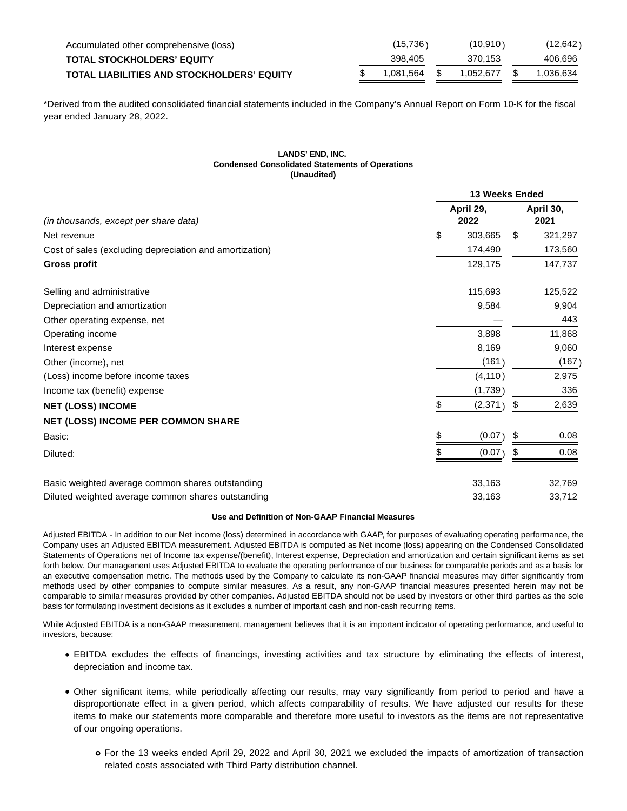| Accumulated other comprehensive (loss)            | (15,736)  |  | (10.910)  |  | (12.642)  |
|---------------------------------------------------|-----------|--|-----------|--|-----------|
| <b>TOTAL STOCKHOLDERS' EQUITY</b>                 | 398,405   |  | 370.153   |  | 406.696   |
| <b>TOTAL LIABILITIES AND STOCKHOLDERS' EQUITY</b> | 1.081.564 |  | 1.052.677 |  | 1.036.634 |

\*Derived from the audited consolidated financial statements included in the Company's Annual Report on Form 10-K for the fiscal year ended January 28, 2022.

#### **LANDS' END, INC. Condensed Consolidated Statements of Operations (Unaudited)**

|                                                         | 13 Weeks Ended    |    |                   |  |  |
|---------------------------------------------------------|-------------------|----|-------------------|--|--|
| (in thousands, except per share data)                   | April 29,<br>2022 |    | April 30,<br>2021 |  |  |
| Net revenue                                             | \$<br>303,665     | \$ | 321,297           |  |  |
| Cost of sales (excluding depreciation and amortization) | 174,490           |    | 173,560           |  |  |
| <b>Gross profit</b>                                     | 129,175           |    | 147,737           |  |  |
| Selling and administrative                              | 115,693           |    | 125,522           |  |  |
| Depreciation and amortization                           | 9,584             |    | 9,904             |  |  |
| Other operating expense, net                            |                   |    | 443               |  |  |
| Operating income                                        | 3,898             |    | 11,868            |  |  |
| Interest expense                                        | 8,169             |    | 9,060             |  |  |
| Other (income), net                                     | (161)             |    | (167)             |  |  |
| (Loss) income before income taxes                       | (4, 110)          |    | 2,975             |  |  |
| Income tax (benefit) expense                            | (1,739)           |    | 336               |  |  |
| <b>NET (LOSS) INCOME</b>                                | \$<br>(2,371)     | \$ | 2,639             |  |  |
| <b>NET (LOSS) INCOME PER COMMON SHARE</b>               |                   |    |                   |  |  |
| Basic:                                                  | (0.07)<br>\$      | \$ | 0.08              |  |  |
| Diluted:                                                | (0.07)            | S  | 0.08              |  |  |
| Basic weighted average common shares outstanding        | 33,163            |    | 32,769            |  |  |
| Diluted weighted average common shares outstanding      | 33,163            |    | 33,712            |  |  |

#### **Use and Definition of Non-GAAP Financial Measures**

Adjusted EBITDA - In addition to our Net income (loss) determined in accordance with GAAP, for purposes of evaluating operating performance, the Company uses an Adjusted EBITDA measurement. Adjusted EBITDA is computed as Net income (loss) appearing on the Condensed Consolidated Statements of Operations net of Income tax expense/(benefit), Interest expense, Depreciation and amortization and certain significant items as set forth below. Our management uses Adjusted EBITDA to evaluate the operating performance of our business for comparable periods and as a basis for an executive compensation metric. The methods used by the Company to calculate its non-GAAP financial measures may differ significantly from methods used by other companies to compute similar measures. As a result, any non-GAAP financial measures presented herein may not be comparable to similar measures provided by other companies. Adjusted EBITDA should not be used by investors or other third parties as the sole basis for formulating investment decisions as it excludes a number of important cash and non-cash recurring items.

While Adjusted EBITDA is a non-GAAP measurement, management believes that it is an important indicator of operating performance, and useful to investors, because:

- EBITDA excludes the effects of financings, investing activities and tax structure by eliminating the effects of interest, depreciation and income tax.
- Other significant items, while periodically affecting our results, may vary significantly from period to period and have a disproportionate effect in a given period, which affects comparability of results. We have adjusted our results for these items to make our statements more comparable and therefore more useful to investors as the items are not representative of our ongoing operations.
	- For the 13 weeks ended April 29, 2022 and April 30, 2021 we excluded the impacts of amortization of transaction related costs associated with Third Party distribution channel.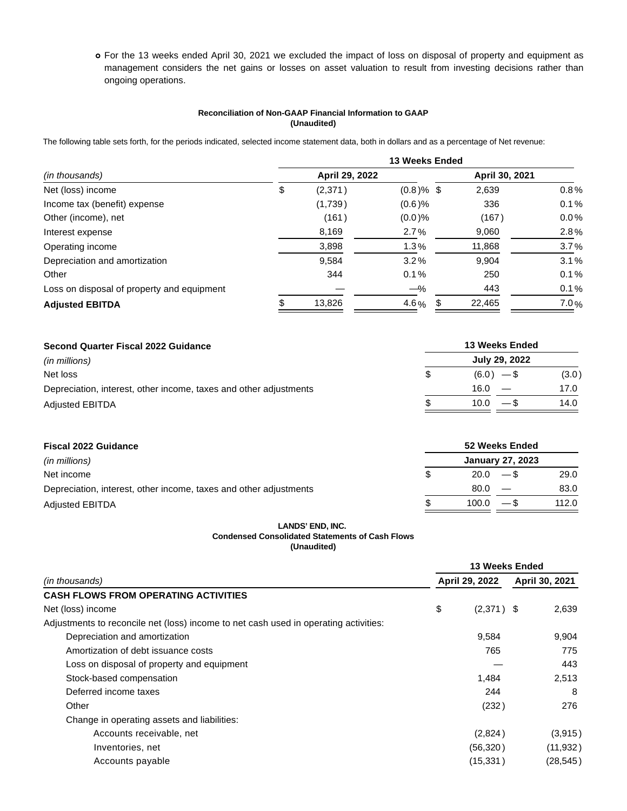For the 13 weeks ended April 30, 2021 we excluded the impact of loss on disposal of property and equipment as management considers the net gains or losses on asset valuation to result from investing decisions rather than ongoing operations.

# **Reconciliation of Non-GAAP Financial Information to GAAP (Unaudited)**

The following table sets forth, for the periods indicated, selected income statement data, both in dollars and as a percentage of Net revenue:

|                                            | <b>13 Weeks Ended</b> |                |              |                |         |  |  |
|--------------------------------------------|-----------------------|----------------|--------------|----------------|---------|--|--|
| (in thousands)                             |                       | April 29, 2022 |              | April 30, 2021 |         |  |  |
| Net (loss) income                          | \$                    | (2,371)        | $(0.8)$ % \$ | 2,639          | 0.8%    |  |  |
| Income tax (benefit) expense               |                       | (1,739)        | $(0.6)$ %    | 336            | 0.1%    |  |  |
| Other (income), net                        |                       | (161)          | $(0.0)$ %    | (167)          | $0.0\%$ |  |  |
| Interest expense                           |                       | 8,169          | 2.7%         | 9,060          | $2.8\%$ |  |  |
| Operating income                           |                       | 3,898          | 1.3%         | 11,868         | 3.7%    |  |  |
| Depreciation and amortization              |                       | 9,584          | 3.2%         | 9,904          | 3.1%    |  |  |
| Other                                      |                       | 344            | 0.1%         | 250            | 0.1%    |  |  |
| Loss on disposal of property and equipment |                       |                | $-\%$        | 443            | 0.1%    |  |  |
| <b>Adjusted EBITDA</b>                     |                       | 13,826         | 4.6 $%$      | 22,465         | 7.0%    |  |  |

| Second Quarter Fiscal 2022 Guidance                               | 13 Weeks Ended |               |       |  |  |  |  |
|-------------------------------------------------------------------|----------------|---------------|-------|--|--|--|--|
| (in millions)                                                     |                | July 29, 2022 |       |  |  |  |  |
| Net loss                                                          | \$             | $(6.0) -$ \$  | (3.0) |  |  |  |  |
| Depreciation, interest, other income, taxes and other adjustments |                | 16.0          | 17.0  |  |  |  |  |
| <b>Adjusted EBITDA</b>                                            |                | $10.0 - S$    | 14.0  |  |  |  |  |

| <b>Fiscal 2022 Guidance</b>                                       | <b>52 Weeks Ended</b>   |            |        |       |  |  |
|-------------------------------------------------------------------|-------------------------|------------|--------|-------|--|--|
| (in millions)                                                     | <b>January 27, 2023</b> |            |        |       |  |  |
| Net income                                                        | \$.                     | $20.0 - $$ |        | 29.0  |  |  |
| Depreciation, interest, other income, taxes and other adjustments |                         | 80.0       |        | 83.0  |  |  |
| <b>Adjusted EBITDA</b>                                            |                         | 100.0      | $-$ \$ | 112.0 |  |  |

### **LANDS' END, INC. Condensed Consolidated Statements of Cash Flows (Unaudited)**

|                                                                                      | 13 Weeks Ended |                |  |                |  |
|--------------------------------------------------------------------------------------|----------------|----------------|--|----------------|--|
| (in thousands)                                                                       |                | April 29, 2022 |  | April 30, 2021 |  |
| <b>CASH FLOWS FROM OPERATING ACTIVITIES</b>                                          |                |                |  |                |  |
| Net (loss) income                                                                    | \$             | $(2,371)$ \$   |  | 2,639          |  |
| Adjustments to reconcile net (loss) income to net cash used in operating activities: |                |                |  |                |  |
| Depreciation and amortization                                                        |                | 9,584          |  | 9,904          |  |
| Amortization of debt issuance costs                                                  |                | 765            |  | 775            |  |
| Loss on disposal of property and equipment                                           |                |                |  | 443            |  |
| Stock-based compensation                                                             |                | 1,484          |  | 2,513          |  |
| Deferred income taxes                                                                |                | 244            |  | 8              |  |
| Other                                                                                |                | (232)          |  | 276            |  |
| Change in operating assets and liabilities:                                          |                |                |  |                |  |
| Accounts receivable, net                                                             |                | (2,824)        |  | (3,915)        |  |
| Inventories, net                                                                     |                | (56, 320)      |  | (11, 932)      |  |
| Accounts payable                                                                     |                | (15, 331)      |  | (28, 545)      |  |